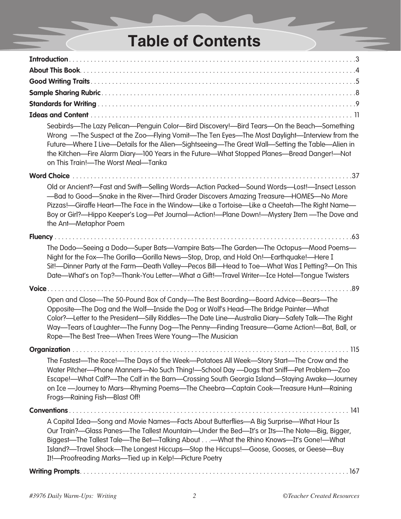## **Table of Contents**

| Seabirds-The Lazy Pelican-Penguin Color-Bird Discovery!-Bird Tears-On the Beach-Something<br>Wrong —The Suspect at the Zoo—Flying Vomit—The Ten Eyes—The Most Daylight—Interview from the<br>Future—Where I Live—Details for the Alien—Sightseeing—The Great Wall—Setting the Table—Alien in<br>the Kitchen—Fire Alarm Diary—100 Years in the Future—What Stopped Planes—Bread Danger!—Not<br>on This Train!-The Worst Meal-Tanka  |
|------------------------------------------------------------------------------------------------------------------------------------------------------------------------------------------------------------------------------------------------------------------------------------------------------------------------------------------------------------------------------------------------------------------------------------|
|                                                                                                                                                                                                                                                                                                                                                                                                                                    |
| Old or Ancient?-Fast and Swift-Selling Words-Action Packed-Sound Words-Lost!--Insect Lesson<br>-Bad to Good-Snake in the River-Third Grader Discovers Amazing Treasure-HOMES-No More<br>Pizzas!--Giraffe Heart-The Face in the Window-Like a Tortoise-Like a Cheetah-The Right Name-<br>Boy or Girl?—Hippo Keeper's Log—Pet Journal—Action!—Plane Down!—Mystery Item —The Dove and<br>the Ant-Metaphor Poem                        |
| <b>Fluency</b>                                                                                                                                                                                                                                                                                                                                                                                                                     |
| The Dodo—Seeing a Dodo—Super Bats—Vampire Bats—The Garden—The Octopus—Mood Poems—<br>Night for the Fox-The Gorilla-Gorilla News-Stop, Drop, and Hold On!- Earthquake!-Here I<br>Sit!-- Dinner Party at the Farm-- Death Valley-- Pecos Bill-- Head to Toe-- What Was I Petting?-- On This<br>Date—What's on Top?—Thank-You Letter—What a Gift!—Travel Writer—Ice Hotel—Tongue Twisters                                             |
|                                                                                                                                                                                                                                                                                                                                                                                                                                    |
| Open and Close—The 50-Pound Box of Candy—The Best Boarding—Board Advice—Bears—The<br>Opposite—The Dog and the Wolf—Inside the Dog or Wolf's Head—The Bridge Painter—What<br>Color?—Letter to the President—Silly Riddles—The Date Line—Australia Diary—Safety Talk—The Right<br>Way—Tears of Laughter—The Funny Dog—The Penny—Finding Treasure—Game Action!—Bat, Ball, or<br>Rope—The Best Tree—When Trees Were Young—The Musician |
|                                                                                                                                                                                                                                                                                                                                                                                                                                    |
| The Fastest—The Race!—The Days of the Week—Potatoes All Week—Story Start—The Crow and the<br>Water Pitcher—Phone Manners—No Such Thing!—School Day —Dogs that Sniff—Pet Problem—Zoo<br>Escape!—What Calf?—The Calf in the Barn—Crossing South Georgia Island—Staying Awake—Journey<br>on Ice -Journey to Mars--Rhyming Poems--The Cheebra--Captain Cook--Treasure Hunt--Raining<br>Frogs-Raining Fish-Blast Off!                   |
|                                                                                                                                                                                                                                                                                                                                                                                                                                    |
| A Capital Idea-Song and Movie Names-Facts About Butterflies-A Big Surprise-What Hour Is<br>Our Train?—Glass Panes—The Tallest Mountain—Under the Bed—It's or Its—The Note—Big, Bigger,<br>Biggest—The Tallest Tale—The Bet—Talking About—What the Rhino Knows—It's Gone!—What<br>Island?—Travel Shock—The Longest Hiccups—Stop the Hiccups!—Goose, Gooses, or Geese—Buy<br>It!-Proofreading Marks-Tied up in Kelp!-Picture Poetry  |
|                                                                                                                                                                                                                                                                                                                                                                                                                                    |

--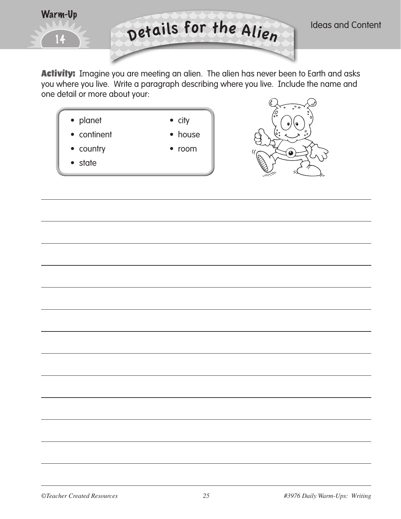

Activity: Imagine you are meeting an alien. The alien has never been to Earth and asks you where you live. Write a paragraph describing where you live. Include the name and one detail or more about your:



- continent house
- 
- country room
- state





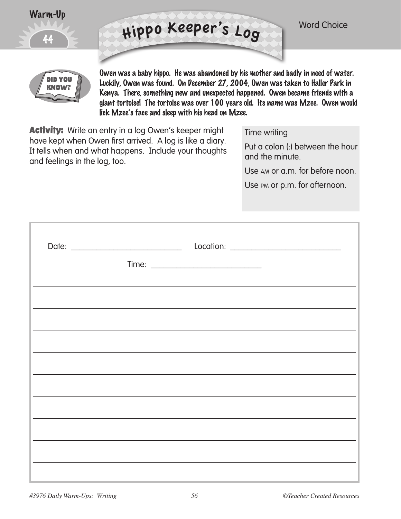